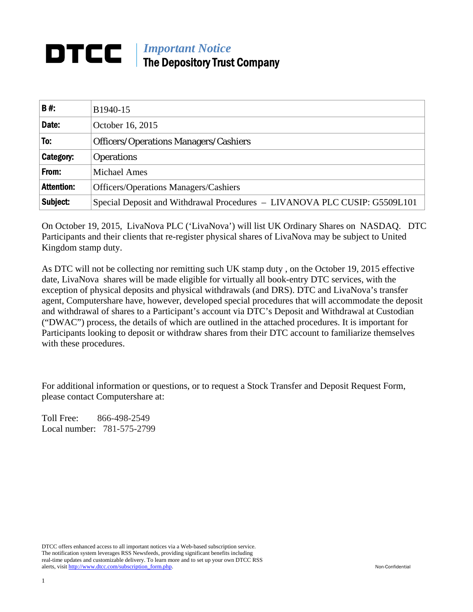# *Important Notice*  The Depository Trust Company

| <b>B#</b>         | B1940-15                                                                  |
|-------------------|---------------------------------------------------------------------------|
| Date:             | October 16, 2015                                                          |
| To:               | <b>Officers/Operations Managers/Cashiers</b>                              |
| Category:         | <b>Operations</b>                                                         |
| From:             | <b>Michael Ames</b>                                                       |
| <b>Attention:</b> | <b>Officers/Operations Managers/Cashiers</b>                              |
| Subject:          | Special Deposit and Withdrawal Procedures - LIVANOVA PLC CUSIP: G5509L101 |

On October 19, 2015, LivaNova PLC ('LivaNova') will list UK Ordinary Shares on NASDAQ. DTC Participants and their clients that re-register physical shares of LivaNova may be subject to United Kingdom stamp duty.

As DTC will not be collecting nor remitting such UK stamp duty , on the October 19, 2015 effective date, LivaNova shares will be made eligible for virtually all book-entry DTC services, with the exception of physical deposits and physical withdrawals (and DRS). DTC and LivaNova's transfer agent, Computershare have, however, developed special procedures that will accommodate the deposit and withdrawal of shares to a Participant's account via DTC's Deposit and Withdrawal at Custodian ("DWAC") process, the details of which are outlined in the attached procedures. It is important for Participants looking to deposit or withdraw shares from their DTC account to familiarize themselves with these procedures.

For additional information or questions, or to request a Stock Transfer and Deposit Request Form, please contact Computershare at:

Toll Free: 866-498-2549 Local number: 781-575-2799

DTCC offers enhanced access to all important notices via a Web-based subscription service. The notification system leverages RSS Newsfeeds, providing significant benefits including real-time updates and customizable delivery. To learn more and to set up your own DTCC RSS alerts, visit http://www.dtcc.com/subscription\_form.php. Non-Confidential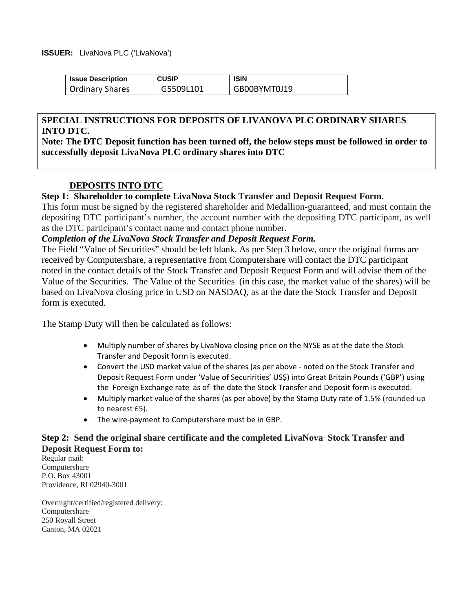## **ISSUER:** LivaNova PLC ('LivaNova')

| <b>Issue Description</b> | <b>CUSIP</b> | <b>ISIN</b>  |
|--------------------------|--------------|--------------|
| <b>Ordinary Shares</b>   | G5509L101    | GB00BYMT0J19 |

## **SPECIAL INSTRUCTIONS FOR DEPOSITS OF LIVANOVA PLC ORDINARY SHARES INTO DTC.**

**Note: The DTC Deposit function has been turned off, the below steps must be followed in order to successfully deposit LivaNova PLC ordinary shares into DTC** 

# **DEPOSITS INTO DTC**

# **Step 1: Shareholder to complete LivaNova Stock Transfer and Deposit Request Form.**

This form must be signed by the registered shareholder and Medallion-guaranteed, and must contain the depositing DTC participant's number, the account number with the depositing DTC participant, as well as the DTC participant's contact name and contact phone number.

## *Completion of the LivaNova Stock Transfer and Deposit Request Form.*

The Field "Value of Securities" should be left blank. As per Step 3 below, once the original forms are received by Computershare, a representative from Computershare will contact the DTC participant noted in the contact details of the Stock Transfer and Deposit Request Form and will advise them of the Value of the Securities. The Value of the Securities (in this case, the market value of the shares) will be based on LivaNova closing price in USD on NASDAQ, as at the date the Stock Transfer and Deposit form is executed.

The Stamp Duty will then be calculated as follows:

- Multiply number of shares by LivaNova closing price on the NYSE as at the date the Stock Transfer and Deposit form is executed.
- Convert the USD market value of the shares (as per above ‐ noted on the Stock Transfer and Deposit Request Form under 'Value of Securirities' US\$) into Great Britain Pounds ('GBP') using the Foreign Exchange rate as of the date the Stock Transfer and Deposit form is executed.
- Multiply market value of the shares (as per above) by the Stamp Duty rate of 1.5% (rounded up to nearest £5).
- The wire‐payment to Computershare must be in GBP.

# **Step 2: Send the original share certificate and the completed LivaNova Stock Transfer and Deposit Request Form to:**

Regular mail: Computershare P.O. Box 43001 Providence, RI 02940-3001

Overnight/certified/registered delivery: Computershare 250 Royall Street Canton, MA 02021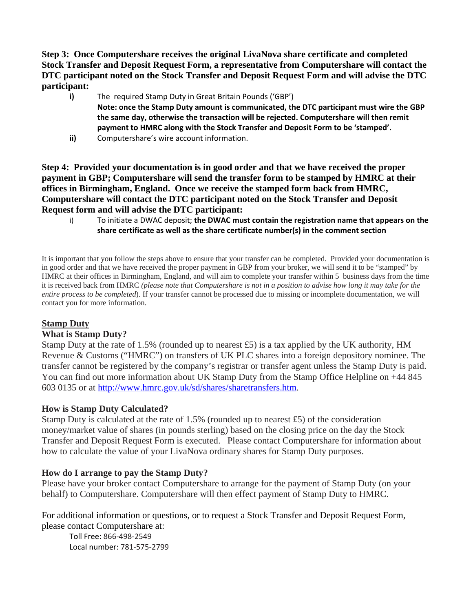**Step 3: Once Computershare receives the original LivaNova share certificate and completed Stock Transfer and Deposit Request Form, a representative from Computershare will contact the DTC participant noted on the Stock Transfer and Deposit Request Form and will advise the DTC participant:** 

- **i)** The required Stamp Duty in Great Britain Pounds ('GBP') **Note: once the Stamp Duty amount is communicated, the DTC participant must wire the GBP**
	- **the same day, otherwise the transaction will be rejected. Computershare will then remit payment to HMRC along with the Stock Transfer and Deposit Form to be 'stamped'.**
- **ii)** Computershare's wire account information.

**Step 4: Provided your documentation is in good order and that we have received the proper payment in GBP; Computershare will send the transfer form to be stamped by HMRC at their offices in Birmingham, England. Once we receive the stamped form back from HMRC, Computershare will contact the DTC participant noted on the Stock Transfer and Deposit Request form and will advise the DTC participant:** 

i) To initiate a DWAC deposit; **the DWAC must contain the registration name that appears on the share certificate as well as the share certificate number(s) in the comment section**

It is important that you follow the steps above to ensure that your transfer can be completed. Provided your documentation is in good order and that we have received the proper payment in GBP from your broker, we will send it to be "stamped" by HMRC at their offices in Birmingham, England, and will aim to complete your transfer within 5 business days from the time it is received back from HMRC *(please note that Computershare is not in a position to advise how long it may take for the entire process to be completed*). If your transfer cannot be processed due to missing or incomplete documentation, we will contact you for more information.

# **Stamp Duty**

# **What is Stamp Duty?**

Stamp Duty at the rate of 1.5% (rounded up to nearest £5) is a tax applied by the UK authority, HM Revenue & Customs ("HMRC") on transfers of UK PLC shares into a foreign depository nominee. The transfer cannot be registered by the company's registrar or transfer agent unless the Stamp Duty is paid. You can find out more information about UK Stamp Duty from the Stamp Office Helpline on +44 845 603 0135 or at http://www.hmrc.gov.uk/sd/shares/sharetransfers.htm.

# **How is Stamp Duty Calculated?**

Stamp Duty is calculated at the rate of 1.5% (rounded up to nearest £5) of the consideration money/market value of shares (in pounds sterling) based on the closing price on the day the Stock Transfer and Deposit Request Form is executed. Please contact Computershare for information about how to calculate the value of your LivaNova ordinary shares for Stamp Duty purposes.

# **How do I arrange to pay the Stamp Duty?**

Please have your broker contact Computershare to arrange for the payment of Stamp Duty (on your behalf) to Computershare. Computershare will then effect payment of Stamp Duty to HMRC.

For additional information or questions, or to request a Stock Transfer and Deposit Request Form, please contact Computershare at:

Toll Free: 866‐498‐2549 Local number: 781‐575‐2799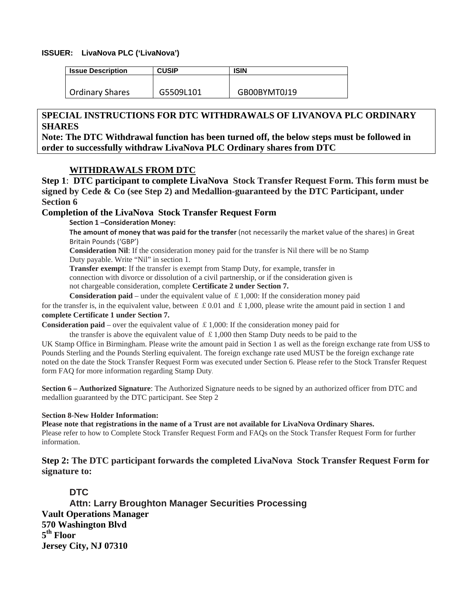#### **ISSUER: LivaNova PLC ('LivaNova')**

| <b>Issue Description</b> | <b>CUSIP</b> | ISIN         |
|--------------------------|--------------|--------------|
|                          |              |              |
| Ordinary Shares          | G5509L101    | GB00BYMT0J19 |

## **SPECIAL INSTRUCTIONS FOR DTC WITHDRAWALS OF LIVANOVA PLC ORDINARY SHARES**

**Note: The DTC Withdrawal function has been turned off, the below steps must be followed in order to successfully withdraw LivaNova PLC Ordinary shares from DTC** 

## **WITHDRAWALS FROM DTC**

**Step 1**: **DTC participant to complete LivaNova Stock Transfer Request Form. This form must be signed by Cede & Co (see Step 2) and Medallion-guaranteed by the DTC Participant, under Section 6** 

## **Completion of the LivaNova Stock Transfer Request Form**

**Section 1 –Consideration Money:**

**The amount of money that was paid for the transfer** (not necessarily the market value of the shares) in Great Britain Pounds ('GBP')

**Consideration Nil**: If the consideration money paid for the transfer is Nil there will be no Stamp Duty payable. Write "Nil" in section 1.

**Transfer exempt**: If the transfer is exempt from Stamp Duty, for example, transfer in connection with divorce or dissolution of a civil partnership, or if the consideration given is not chargeable consideration, complete **Certificate 2 under Section 7.**

**Consideration paid** – under the equivalent value of  $\pounds$  1,000: If the consideration money paid for the transfer is, in the equivalent value, between £0.01 and £1,000, please write the amount paid in section 1 and **complete Certificate 1 under Section 7.** 

**Consideration paid** – over the equivalent value of  $\pounds$  1,000: If the consideration money paid for

the transfer is above the equivalent value of  $\pounds 1,000$  then Stamp Duty needs to be paid to the UK Stamp Office in Birmingham. Please write the amount paid in Section 1 as well as the foreign exchange rate from US\$ to Pounds Sterling and the Pounds Sterling equivalent. The foreign exchange rate used MUST be the foreign exchange rate noted on the date the Stock Transfer Request Form was executed under Section 6. Please refer to the Stock Transfer Request form FAQ for more information regarding Stamp Duty.

**Section 6 – Authorized Signature**: The Authorized Signature needs to be signed by an authorized officer from DTC and medallion guaranteed by the DTC participant. See Step 2

#### **Section 8-New Holder Information:**

**Please note that registrations in the name of a Trust are not available for LivaNova Ordinary Shares.**  Please refer to how to Complete Stock Transfer Request Form and FAQs on the Stock Transfer Request Form for further information.

**Step 2: The DTC participant forwards the completed LivaNova Stock Transfer Request Form for signature to:** 

## **DTC**

**Attn: Larry Broughton Manager Securities Processing Vault Operations Manager 570 Washington Blvd 5th Floor Jersey City, NJ 07310**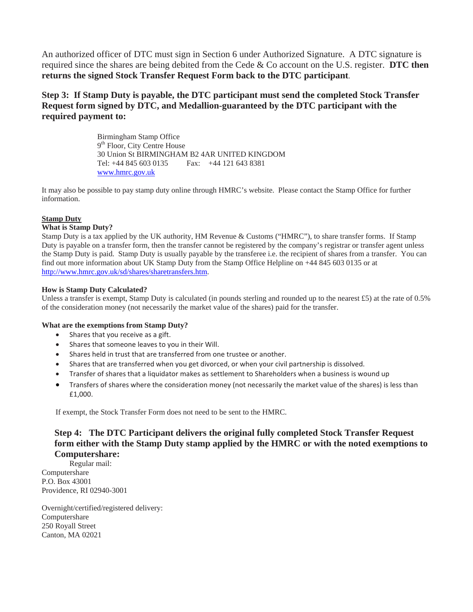An authorized officer of DTC must sign in Section 6 under Authorized Signature. A DTC signature is required since the shares are being debited from the Cede & Co account on the U.S. register. **DTC then returns the signed Stock Transfer Request Form back to the DTC participant**.

# **Step 3: If Stamp Duty is payable, the DTC participant must send the completed Stock Transfer Request form signed by DTC, and Medallion-guaranteed by the DTC participant with the required payment to:**

Birmingham Stamp Office 9<sup>th</sup> Floor, City Centre House 30 Union St BIRMINGHAM B2 4AR UNITED KINGDOM Tel: +44 845 603 0135 Fax: +44 121 643 8381 www.hmrc.gov.uk

It may also be possible to pay stamp duty online through HMRC's website. Please contact the Stamp Office for further information.

#### **Stamp Duty**

#### **What is Stamp Duty?**

Stamp Duty is a tax applied by the UK authority, HM Revenue & Customs ("HMRC"), to share transfer forms. If Stamp Duty is payable on a transfer form, then the transfer cannot be registered by the company's registrar or transfer agent unless the Stamp Duty is paid. Stamp Duty is usually payable by the transferee i.e. the recipient of shares from a transfer. You can find out more information about UK Stamp Duty from the Stamp Office Helpline on +44 845 603 0135 or at http://www.hmrc.gov.uk/sd/shares/sharetransfers.htm.

#### **How is Stamp Duty Calculated?**

Unless a transfer is exempt, Stamp Duty is calculated (in pounds sterling and rounded up to the nearest £5) at the rate of 0.5% of the consideration money (not necessarily the market value of the shares) paid for the transfer.

#### **What are the exemptions from Stamp Duty?**

- Shares that you receive as a gift.
- Shares that someone leaves to you in their Will.
- Shares held in trust that are transferred from one trustee or another.
- Shares that are transferred when you get divorced, or when your civil partnership is dissolved.
- Transfer of shares that a liquidator makes as settlement to Shareholders when a business is wound up
- Transfers of shares where the consideration money (not necessarily the market value of the shares) is less than £1,000.

If exempt, the Stock Transfer Form does not need to be sent to the HMRC.

# **Step 4: The DTC Participant delivers the original fully completed Stock Transfer Request form either with the Stamp Duty stamp applied by the HMRC or with the noted exemptions to Computershare:**

Regular mail: Computershare P.O. Box 43001 Providence, RI 02940-3001

Overnight/certified/registered delivery: Computershare 250 Royall Street Canton, MA 02021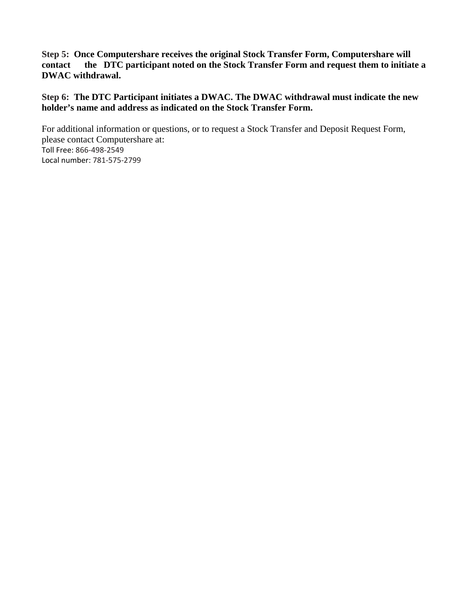**Step 5: Once Computershare receives the original Stock Transfer Form, Computershare will contact the DTC participant noted on the Stock Transfer Form and request them to initiate a DWAC withdrawal.** 

**Step 6: The DTC Participant initiates a DWAC. The DWAC withdrawal must indicate the new holder's name and address as indicated on the Stock Transfer Form.** 

For additional information or questions, or to request a Stock Transfer and Deposit Request Form, please contact Computershare at: Toll Free: 866‐498‐2549 Local number: 781‐575‐2799